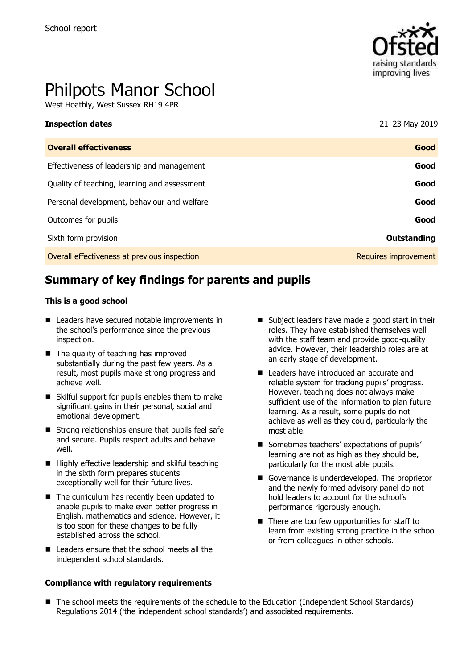

# Philpots Manor School

West Hoathly, West Sussex RH19 4PR

| <b>Inspection dates</b>                      | 21-23 May 2019       |
|----------------------------------------------|----------------------|
| <b>Overall effectiveness</b>                 | Good                 |
| Effectiveness of leadership and management   | Good                 |
| Quality of teaching, learning and assessment | Good                 |
| Personal development, behaviour and welfare  | Good                 |
| Outcomes for pupils                          | Good                 |
| Sixth form provision                         | Outstanding          |
| Overall effectiveness at previous inspection | Requires improvement |

# **Summary of key findings for parents and pupils**

#### **This is a good school**

- Leaders have secured notable improvements in the school's performance since the previous inspection.
- The quality of teaching has improved substantially during the past few years. As a result, most pupils make strong progress and achieve well.
- Skilful support for pupils enables them to make significant gains in their personal, social and emotional development.
- $\blacksquare$  Strong relationships ensure that pupils feel safe and secure. Pupils respect adults and behave well.
- $\blacksquare$  Highly effective leadership and skilful teaching in the sixth form prepares students exceptionally well for their future lives.
- The curriculum has recently been updated to enable pupils to make even better progress in English, mathematics and science. However, it is too soon for these changes to be fully established across the school.
- Leaders ensure that the school meets all the independent school standards.

#### **Compliance with regulatory requirements**

- Subject leaders have made a good start in their roles. They have established themselves well with the staff team and provide good-quality advice. However, their leadership roles are at an early stage of development.
- Leaders have introduced an accurate and reliable system for tracking pupils' progress. However, teaching does not always make sufficient use of the information to plan future learning. As a result, some pupils do not achieve as well as they could, particularly the most able.
- Sometimes teachers' expectations of pupils' learning are not as high as they should be, particularly for the most able pupils.
- Governance is underdeveloped. The proprietor and the newly formed advisory panel do not hold leaders to account for the school's performance rigorously enough.
- There are too few opportunities for staff to learn from existing strong practice in the school or from colleagues in other schools.
- The school meets the requirements of the schedule to the Education (Independent School Standards) Regulations 2014 ('the independent school standards') and associated requirements.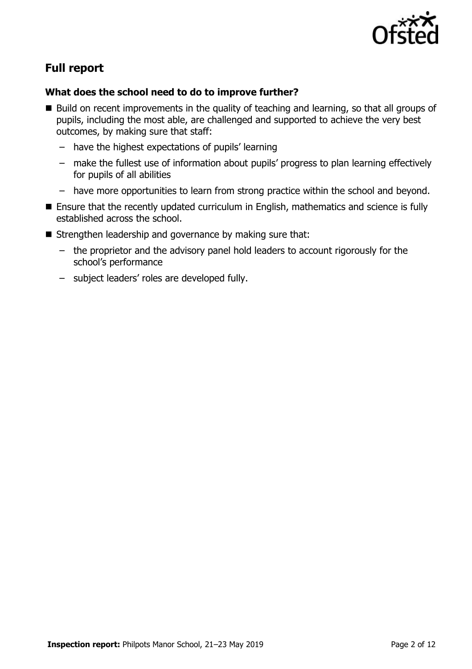

# **Full report**

### **What does the school need to do to improve further?**

- Build on recent improvements in the quality of teaching and learning, so that all groups of pupils, including the most able, are challenged and supported to achieve the very best outcomes, by making sure that staff:
	- have the highest expectations of pupils' learning
	- make the fullest use of information about pupils' progress to plan learning effectively for pupils of all abilities
	- have more opportunities to learn from strong practice within the school and beyond.
- Ensure that the recently updated curriculum in English, mathematics and science is fully established across the school.
- Strengthen leadership and governance by making sure that:
	- the proprietor and the advisory panel hold leaders to account rigorously for the school's performance
	- subject leaders' roles are developed fully.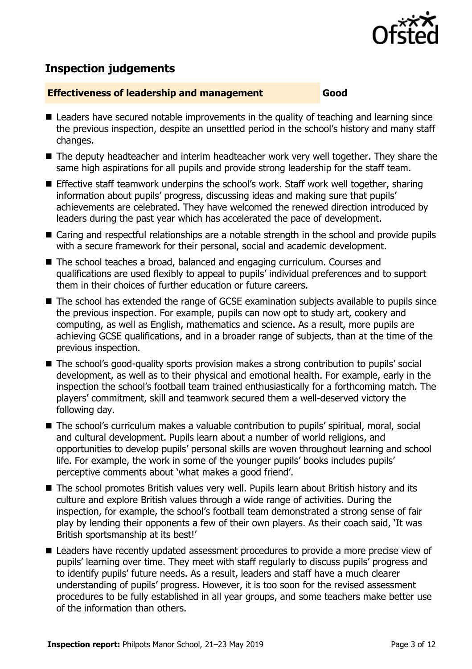

# **Inspection judgements**

#### **Effectiveness of leadership and management Good**

- Leaders have secured notable improvements in the quality of teaching and learning since the previous inspection, despite an unsettled period in the school's history and many staff changes.
- The deputy headteacher and interim headteacher work very well together. They share the same high aspirations for all pupils and provide strong leadership for the staff team.
- **E** Effective staff teamwork underpins the school's work. Staff work well together, sharing information about pupils' progress, discussing ideas and making sure that pupils' achievements are celebrated. They have welcomed the renewed direction introduced by leaders during the past year which has accelerated the pace of development.
- Caring and respectful relationships are a notable strength in the school and provide pupils with a secure framework for their personal, social and academic development.
- The school teaches a broad, balanced and engaging curriculum. Courses and qualifications are used flexibly to appeal to pupils' individual preferences and to support them in their choices of further education or future careers.
- The school has extended the range of GCSE examination subjects available to pupils since the previous inspection. For example, pupils can now opt to study art, cookery and computing, as well as English, mathematics and science. As a result, more pupils are achieving GCSE qualifications, and in a broader range of subjects, than at the time of the previous inspection.
- The school's good-quality sports provision makes a strong contribution to pupils' social development, as well as to their physical and emotional health. For example, early in the inspection the school's football team trained enthusiastically for a forthcoming match. The players' commitment, skill and teamwork secured them a well-deserved victory the following day.
- The school's curriculum makes a valuable contribution to pupils' spiritual, moral, social and cultural development. Pupils learn about a number of world religions, and opportunities to develop pupils' personal skills are woven throughout learning and school life. For example, the work in some of the younger pupils' books includes pupils' perceptive comments about 'what makes a good friend'.
- The school promotes British values very well. Pupils learn about British history and its culture and explore British values through a wide range of activities. During the inspection, for example, the school's football team demonstrated a strong sense of fair play by lending their opponents a few of their own players. As their coach said, 'It was British sportsmanship at its best!'
- Leaders have recently updated assessment procedures to provide a more precise view of pupils' learning over time. They meet with staff regularly to discuss pupils' progress and to identify pupils' future needs. As a result, leaders and staff have a much clearer understanding of pupils' progress. However, it is too soon for the revised assessment procedures to be fully established in all year groups, and some teachers make better use of the information than others.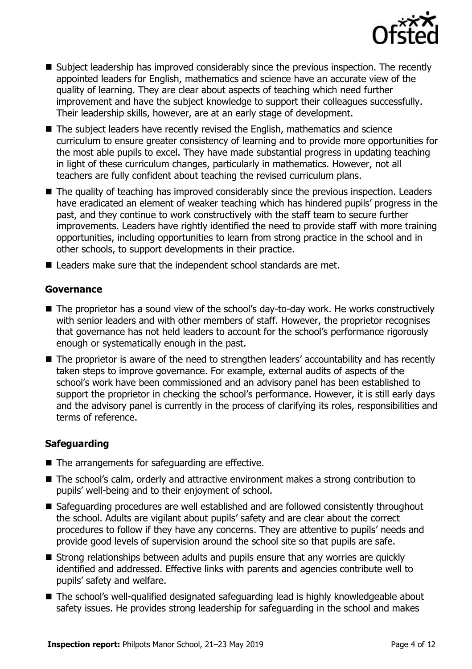

- Subject leadership has improved considerably since the previous inspection. The recently appointed leaders for English, mathematics and science have an accurate view of the quality of learning. They are clear about aspects of teaching which need further improvement and have the subject knowledge to support their colleagues successfully. Their leadership skills, however, are at an early stage of development.
- The subject leaders have recently revised the English, mathematics and science curriculum to ensure greater consistency of learning and to provide more opportunities for the most able pupils to excel. They have made substantial progress in updating teaching in light of these curriculum changes, particularly in mathematics. However, not all teachers are fully confident about teaching the revised curriculum plans.
- The quality of teaching has improved considerably since the previous inspection. Leaders have eradicated an element of weaker teaching which has hindered pupils' progress in the past, and they continue to work constructively with the staff team to secure further improvements. Leaders have rightly identified the need to provide staff with more training opportunities, including opportunities to learn from strong practice in the school and in other schools, to support developments in their practice.
- Leaders make sure that the independent school standards are met.

#### **Governance**

- The proprietor has a sound view of the school's day-to-day work. He works constructively with senior leaders and with other members of staff. However, the proprietor recognises that governance has not held leaders to account for the school's performance rigorously enough or systematically enough in the past.
- The proprietor is aware of the need to strengthen leaders' accountability and has recently taken steps to improve governance. For example, external audits of aspects of the school's work have been commissioned and an advisory panel has been established to support the proprietor in checking the school's performance. However, it is still early days and the advisory panel is currently in the process of clarifying its roles, responsibilities and terms of reference.

#### **Safeguarding**

- The arrangements for safeguarding are effective.
- The school's calm, orderly and attractive environment makes a strong contribution to pupils' well-being and to their enjoyment of school.
- Safeguarding procedures are well established and are followed consistently throughout the school. Adults are vigilant about pupils' safety and are clear about the correct procedures to follow if they have any concerns. They are attentive to pupils' needs and provide good levels of supervision around the school site so that pupils are safe.
- Strong relationships between adults and pupils ensure that any worries are quickly identified and addressed. Effective links with parents and agencies contribute well to pupils' safety and welfare.
- The school's well-qualified designated safeguarding lead is highly knowledgeable about safety issues. He provides strong leadership for safeguarding in the school and makes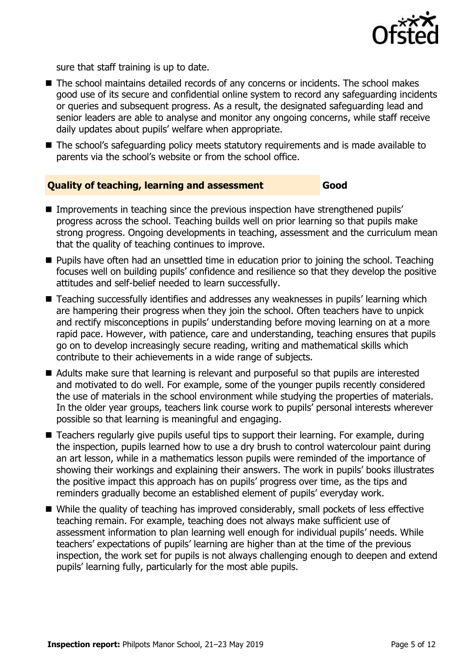

sure that staff training is up to date.

- The school maintains detailed records of any concerns or incidents. The school makes good use of its secure and confidential online system to record any safeguarding incidents or queries and subsequent progress. As a result, the designated safeguarding lead and senior leaders are able to analyse and monitor any ongoing concerns, while staff receive daily updates about pupils' welfare when appropriate.
- The school's safeguarding policy meets statutory requirements and is made available to parents via the school's website or from the school office.

#### **Quality of teaching, learning and assessment Good**

- Improvements in teaching since the previous inspection have strengthened pupils' progress across the school. Teaching builds well on prior learning so that pupils make strong progress. Ongoing developments in teaching, assessment and the curriculum mean that the quality of teaching continues to improve.
- **Pupils have often had an unsettled time in education prior to joining the school. Teaching** focuses well on building pupils' confidence and resilience so that they develop the positive attitudes and self-belief needed to learn successfully.
- Teaching successfully identifies and addresses any weaknesses in pupils' learning which are hampering their progress when they join the school. Often teachers have to unpick and rectify misconceptions in pupils' understanding before moving learning on at a more rapid pace. However, with patience, care and understanding, teaching ensures that pupils go on to develop increasingly secure reading, writing and mathematical skills which contribute to their achievements in a wide range of subjects.
- Adults make sure that learning is relevant and purposeful so that pupils are interested and motivated to do well. For example, some of the younger pupils recently considered the use of materials in the school environment while studying the properties of materials. In the older year groups, teachers link course work to pupils' personal interests wherever possible so that learning is meaningful and engaging.
- Teachers regularly give pupils useful tips to support their learning. For example, during the inspection, pupils learned how to use a dry brush to control watercolour paint during an art lesson, while in a mathematics lesson pupils were reminded of the importance of showing their workings and explaining their answers. The work in pupils' books illustrates the positive impact this approach has on pupils' progress over time, as the tips and reminders gradually become an established element of pupils' everyday work.
- While the quality of teaching has improved considerably, small pockets of less effective teaching remain. For example, teaching does not always make sufficient use of assessment information to plan learning well enough for individual pupils' needs. While teachers' expectations of pupils' learning are higher than at the time of the previous inspection, the work set for pupils is not always challenging enough to deepen and extend pupils' learning fully, particularly for the most able pupils.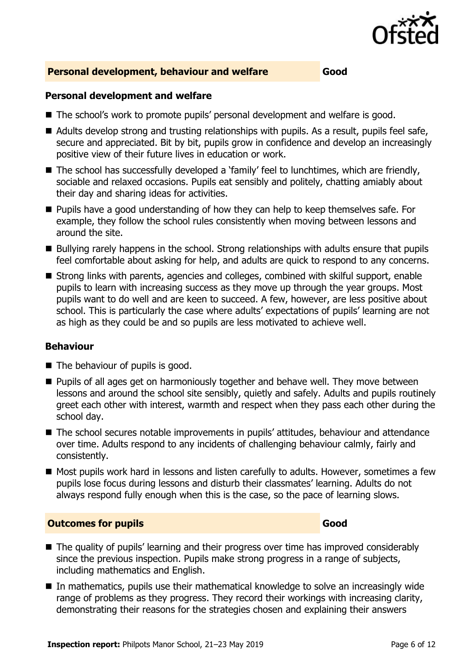

#### **Personal development, behaviour and welfare Good**

#### **Personal development and welfare**

- The school's work to promote pupils' personal development and welfare is good.
- Adults develop strong and trusting relationships with pupils. As a result, pupils feel safe, secure and appreciated. Bit by bit, pupils grow in confidence and develop an increasingly positive view of their future lives in education or work.
- The school has successfully developed a 'family' feel to lunchtimes, which are friendly, sociable and relaxed occasions. Pupils eat sensibly and politely, chatting amiably about their day and sharing ideas for activities.
- **Pupils have a good understanding of how they can help to keep themselves safe. For** example, they follow the school rules consistently when moving between lessons and around the site.
- Bullying rarely happens in the school. Strong relationships with adults ensure that pupils feel comfortable about asking for help, and adults are quick to respond to any concerns.
- Strong links with parents, agencies and colleges, combined with skilful support, enable pupils to learn with increasing success as they move up through the year groups. Most pupils want to do well and are keen to succeed. A few, however, are less positive about school. This is particularly the case where adults' expectations of pupils' learning are not as high as they could be and so pupils are less motivated to achieve well.

#### **Behaviour**

- The behaviour of pupils is good.
- **Pupils of all ages get on harmoniously together and behave well. They move between** lessons and around the school site sensibly, quietly and safely. Adults and pupils routinely greet each other with interest, warmth and respect when they pass each other during the school day.
- The school secures notable improvements in pupils' attitudes, behaviour and attendance over time. Adults respond to any incidents of challenging behaviour calmly, fairly and consistently.
- Most pupils work hard in lessons and listen carefully to adults. However, sometimes a few pupils lose focus during lessons and disturb their classmates' learning. Adults do not always respond fully enough when this is the case, so the pace of learning slows.

#### **Outcomes for pupils Good Good**

- The quality of pupils' learning and their progress over time has improved considerably since the previous inspection. Pupils make strong progress in a range of subjects, including mathematics and English.
- In mathematics, pupils use their mathematical knowledge to solve an increasingly wide range of problems as they progress. They record their workings with increasing clarity, demonstrating their reasons for the strategies chosen and explaining their answers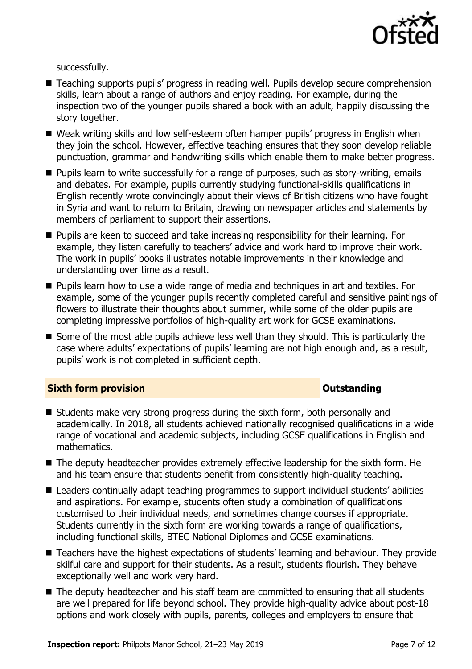

successfully.

- Teaching supports pupils' progress in reading well. Pupils develop secure comprehension skills, learn about a range of authors and enjoy reading. For example, during the inspection two of the younger pupils shared a book with an adult, happily discussing the story together.
- Weak writing skills and low self-esteem often hamper pupils' progress in English when they join the school. However, effective teaching ensures that they soon develop reliable punctuation, grammar and handwriting skills which enable them to make better progress.
- **Pupils learn to write successfully for a range of purposes, such as story-writing, emails** and debates. For example, pupils currently studying functional-skills qualifications in English recently wrote convincingly about their views of British citizens who have fought in Syria and want to return to Britain, drawing on newspaper articles and statements by members of parliament to support their assertions.
- **Pupils are keen to succeed and take increasing responsibility for their learning. For** example, they listen carefully to teachers' advice and work hard to improve their work. The work in pupils' books illustrates notable improvements in their knowledge and understanding over time as a result.
- **Pupils learn how to use a wide range of media and techniques in art and textiles. For** example, some of the younger pupils recently completed careful and sensitive paintings of flowers to illustrate their thoughts about summer, while some of the older pupils are completing impressive portfolios of high-quality art work for GCSE examinations.
- Some of the most able pupils achieve less well than they should. This is particularly the case where adults' expectations of pupils' learning are not high enough and, as a result, pupils' work is not completed in sufficient depth.

#### **Sixth form provision CONSISTER SIXTERS IN A SET OUTSTANDING Outstanding**

- Students make very strong progress during the sixth form, both personally and academically. In 2018, all students achieved nationally recognised qualifications in a wide range of vocational and academic subjects, including GCSE qualifications in English and mathematics.
- The deputy headteacher provides extremely effective leadership for the sixth form. He and his team ensure that students benefit from consistently high-quality teaching.
- Leaders continually adapt teaching programmes to support individual students' abilities and aspirations. For example, students often study a combination of qualifications customised to their individual needs, and sometimes change courses if appropriate. Students currently in the sixth form are working towards a range of qualifications, including functional skills, BTEC National Diplomas and GCSE examinations.
- Teachers have the highest expectations of students' learning and behaviour. They provide skilful care and support for their students. As a result, students flourish. They behave exceptionally well and work very hard.
- The deputy headteacher and his staff team are committed to ensuring that all students are well prepared for life beyond school. They provide high-quality advice about post-18 options and work closely with pupils, parents, colleges and employers to ensure that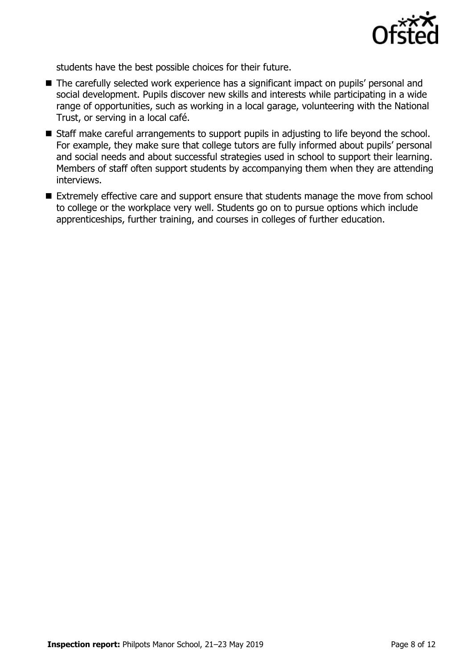

students have the best possible choices for their future.

- The carefully selected work experience has a significant impact on pupils' personal and social development. Pupils discover new skills and interests while participating in a wide range of opportunities, such as working in a local garage, volunteering with the National Trust, or serving in a local café.
- Staff make careful arrangements to support pupils in adjusting to life beyond the school. For example, they make sure that college tutors are fully informed about pupils' personal and social needs and about successful strategies used in school to support their learning. Members of staff often support students by accompanying them when they are attending interviews.
- Extremely effective care and support ensure that students manage the move from school to college or the workplace very well. Students go on to pursue options which include apprenticeships, further training, and courses in colleges of further education.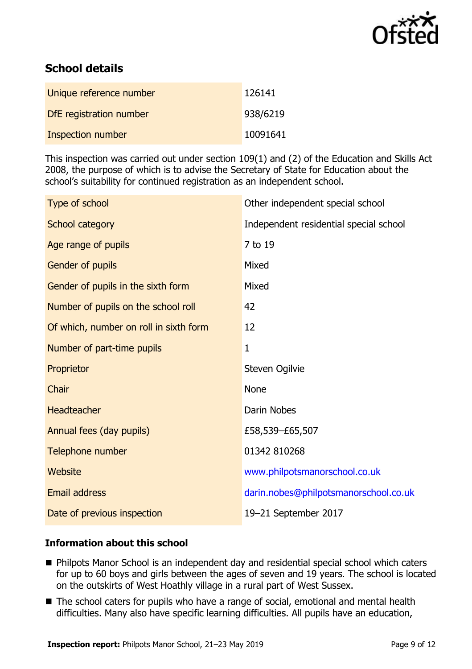

# **School details**

| Unique reference number  | 126141   |
|--------------------------|----------|
| DfE registration number  | 938/6219 |
| <b>Inspection number</b> | 10091641 |

This inspection was carried out under section 109(1) and (2) of the Education and Skills Act 2008, the purpose of which is to advise the Secretary of State for Education about the school's suitability for continued registration as an independent school.

| Type of school                         | Other independent special school       |
|----------------------------------------|----------------------------------------|
| School category                        | Independent residential special school |
| Age range of pupils                    | 7 to 19                                |
| Gender of pupils                       | Mixed                                  |
| Gender of pupils in the sixth form     | Mixed                                  |
| Number of pupils on the school roll    | 42                                     |
| Of which, number on roll in sixth form | 12                                     |
| Number of part-time pupils             | $\mathbf{1}$                           |
| Proprietor                             | Steven Ogilvie                         |
| Chair                                  | <b>None</b>                            |
| <b>Headteacher</b>                     | <b>Darin Nobes</b>                     |
| Annual fees (day pupils)               | £58,539-£65,507                        |
| Telephone number                       | 01342 810268                           |
| <b>Website</b>                         | www.philpotsmanorschool.co.uk          |
| <b>Email address</b>                   | darin.nobes@philpotsmanorschool.co.uk  |
| Date of previous inspection            | 19-21 September 2017                   |

#### **Information about this school**

- Philpots Manor School is an independent day and residential special school which caters for up to 60 boys and girls between the ages of seven and 19 years. The school is located on the outskirts of West Hoathly village in a rural part of West Sussex.
- The school caters for pupils who have a range of social, emotional and mental health difficulties. Many also have specific learning difficulties. All pupils have an education,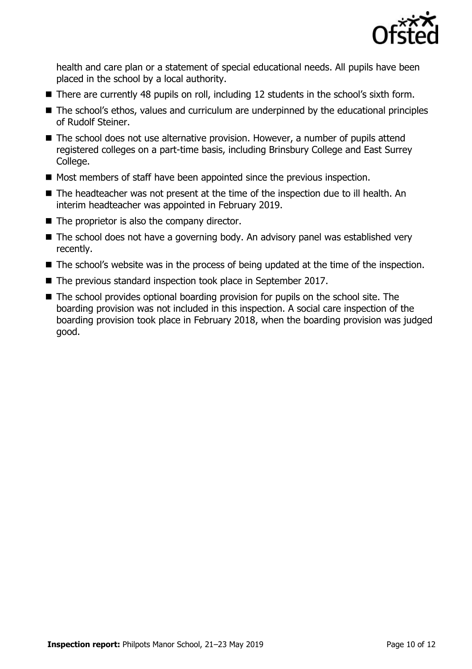

health and care plan or a statement of special educational needs. All pupils have been placed in the school by a local authority.

- There are currently 48 pupils on roll, including 12 students in the school's sixth form.
- The school's ethos, values and curriculum are underpinned by the educational principles of Rudolf Steiner.
- The school does not use alternative provision. However, a number of pupils attend registered colleges on a part-time basis, including Brinsbury College and East Surrey College.
- $\blacksquare$  Most members of staff have been appointed since the previous inspection.
- The headteacher was not present at the time of the inspection due to ill health. An interim headteacher was appointed in February 2019.
- $\blacksquare$  The proprietor is also the company director.
- $\blacksquare$  The school does not have a governing body. An advisory panel was established very recently.
- The school's website was in the process of being updated at the time of the inspection.
- The previous standard inspection took place in September 2017.
- The school provides optional boarding provision for pupils on the school site. The boarding provision was not included in this inspection. A social care inspection of the boarding provision took place in February 2018, when the boarding provision was judged good.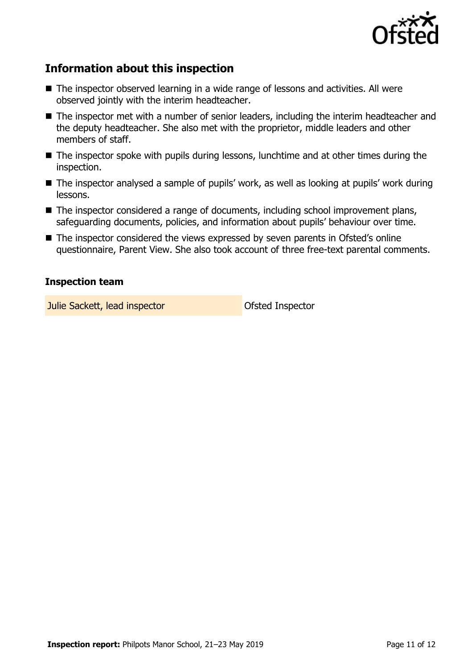

## **Information about this inspection**

- The inspector observed learning in a wide range of lessons and activities. All were observed jointly with the interim headteacher.
- The inspector met with a number of senior leaders, including the interim headteacher and the deputy headteacher. She also met with the proprietor, middle leaders and other members of staff.
- The inspector spoke with pupils during lessons, lunchtime and at other times during the inspection.
- The inspector analysed a sample of pupils' work, as well as looking at pupils' work during lessons.
- The inspector considered a range of documents, including school improvement plans, safeguarding documents, policies, and information about pupils' behaviour over time.
- The inspector considered the views expressed by seven parents in Ofsted's online questionnaire, Parent View. She also took account of three free-text parental comments.

#### **Inspection team**

**Julie Sackett, lead inspector Constanting Constanting Constanting Constanting Constanting Constanting Constanting Constanting Constanting Constanting Constanting Constanting Constanting Constanting Constanting Constanti**